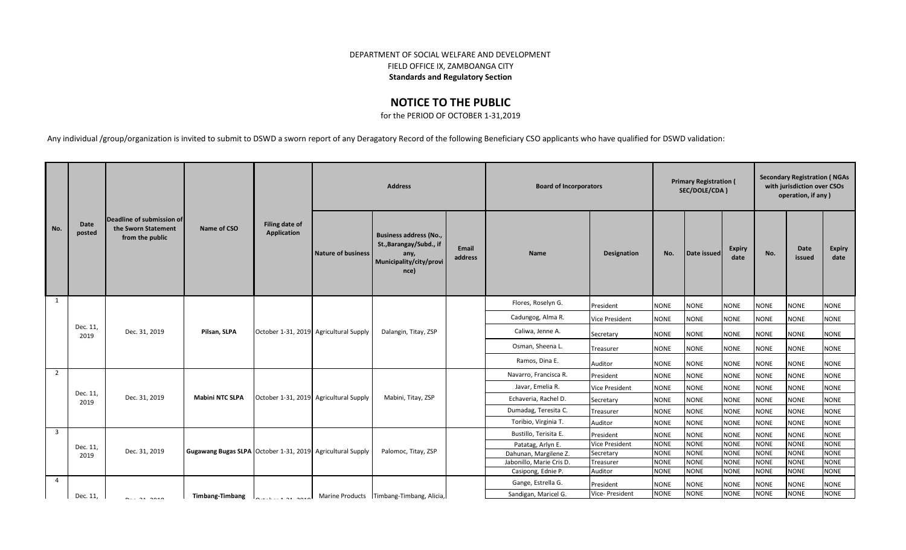## DEPARTMENT OF SOCIAL WELFARE AND DEVELOPMENT FIELD OFFICE IX, ZAMBOANGA CITY **Standards and Regulatory Section**

## **NOTICE TO THE PUBLIC**

for the PERIOD OF OCTOBER 1-31,2019

Any individual /group/organization is invited to submit to DSWD a sworn report of any Deragatory Record of the following Beneficiary CSO applicants who have qualified for DSWD validation:

|                |                  | Deadline of submission of              |                                                            |                                        | <b>Address</b>                         |                                                                                                     |                  | <b>Board of Incorporators</b> |                       | <b>Primary Registration (</b><br>SEC/DOLE/CDA) |             | <b>Secondary Registration (NGAs</b><br>with jurisdiction over CSOs<br>operation, if any) |             |                |                       |
|----------------|------------------|----------------------------------------|------------------------------------------------------------|----------------------------------------|----------------------------------------|-----------------------------------------------------------------------------------------------------|------------------|-------------------------------|-----------------------|------------------------------------------------|-------------|------------------------------------------------------------------------------------------|-------------|----------------|-----------------------|
| No.            | Date<br>posted   | the Sworn Statement<br>from the public | Name of CSO                                                | Filing date of<br>Application          | Nature of business                     | <b>Business address (No.,</b><br>St., Barangay/Subd., if<br>any,<br>Municipality/city/provi<br>nce) | Email<br>address | <b>Name</b>                   | Designation           | No.                                            | Date issued | <b>Expiry</b><br>date                                                                    | No.         | Date<br>issued | <b>Expiry</b><br>date |
| 1              |                  |                                        |                                                            |                                        |                                        |                                                                                                     |                  | Flores, Roselyn G.            | President             | <b>NONE</b>                                    | <b>NONE</b> | <b>NONE</b>                                                                              | <b>NONE</b> | <b>NONE</b>    | <b>NONE</b>           |
|                |                  |                                        |                                                            |                                        |                                        | Dalangin, Titay, ZSP                                                                                |                  | Cadungog, Alma R.             | <b>Vice President</b> | <b>NONE</b>                                    | <b>NONE</b> | <b>NONE</b>                                                                              | <b>NONE</b> | <b>NONE</b>    | <b>NONE</b>           |
|                | Dec. 11,         | Dec. 31, 2019                          | Pilsan, SLPA                                               | October 1-31, 2019 Agricultural Supply |                                        |                                                                                                     |                  | Caliwa, Jenne A.              | Secretary             | <b>NONE</b>                                    | <b>NONE</b> | <b>NONE</b>                                                                              | <b>NONE</b> | <b>NONE</b>    | <b>NONE</b>           |
|                | 2019             |                                        |                                                            |                                        |                                        |                                                                                                     |                  | Osman, Sheena L.              | Treasurer             | <b>NONE</b>                                    | <b>NONE</b> | <b>NONE</b>                                                                              | <b>NONE</b> | <b>NONE</b>    | <b>NONE</b>           |
|                |                  |                                        |                                                            |                                        |                                        |                                                                                                     |                  | Ramos, Dina E.                | Auditor               | <b>NONE</b>                                    | <b>NONE</b> | <b>NONE</b>                                                                              | <b>NONE</b> | <b>NONE</b>    | <b>NONE</b>           |
| $\overline{2}$ |                  |                                        |                                                            |                                        |                                        |                                                                                                     |                  | Navarro, Francisca R.         | President             | <b>NONE</b>                                    | <b>NONE</b> | <b>NONE</b>                                                                              | <b>NONE</b> | <b>NONE</b>    | <b>NONE</b>           |
|                |                  |                                        |                                                            |                                        |                                        |                                                                                                     |                  | Javar, Emelia R.              | <b>Vice President</b> | <b>NONE</b>                                    | <b>NONE</b> | <b>NONE</b>                                                                              | <b>NONE</b> | <b>NONE</b>    | <b>NONE</b>           |
|                | Dec. 11,<br>2019 | Dec. 31, 2019                          | <b>Mabini NTC SLPA</b>                                     |                                        | October 1-31, 2019 Agricultural Supply | Mabini, Titay, ZSP                                                                                  |                  | Echaveria, Rachel D.          | Secretary             | <b>NONE</b>                                    | <b>NONE</b> | <b>NONE</b>                                                                              | <b>NONE</b> | <b>NONE</b>    | <b>NONE</b>           |
|                |                  |                                        |                                                            |                                        |                                        |                                                                                                     |                  | Dumadag, Teresita C.          | Treasurer             | <b>NONE</b>                                    | <b>NONE</b> | <b>NONE</b>                                                                              | <b>NONE</b> | <b>NONE</b>    | <b>NONE</b>           |
|                |                  |                                        |                                                            |                                        |                                        |                                                                                                     |                  | Toribio, Virginia T.          | Auditor               | <b>NONE</b>                                    | <b>NONE</b> | <b>NONE</b>                                                                              | <b>NONE</b> | <b>NONE</b>    | <b>NONE</b>           |
| $\overline{3}$ |                  |                                        |                                                            |                                        |                                        |                                                                                                     |                  | Bustillo, Terisita E.         | President             | <b>NONE</b>                                    | <b>NONE</b> | <b>NONE</b>                                                                              | <b>NONE</b> | <b>NONE</b>    | <b>NONE</b>           |
|                | Dec. 11,         |                                        |                                                            |                                        |                                        |                                                                                                     |                  | Patatag, Arlyn E.             | <b>Vice President</b> | <b>NONE</b>                                    | <b>NONE</b> | <b>NONE</b>                                                                              | <b>NONE</b> | <b>NONE</b>    | <b>NONE</b>           |
|                | 2019             | Dec. 31, 2019                          | Gugawang Bugas SLPA October 1-31, 2019 Agricultural Supply |                                        |                                        | Palomoc, Titay, ZSP                                                                                 |                  | Dahunan, Margilene Z.         | Secretary             | <b>NONE</b>                                    | <b>NONE</b> | <b>NONE</b>                                                                              | <b>NONE</b> | <b>NONE</b>    | <b>NONE</b>           |
|                |                  |                                        |                                                            |                                        |                                        |                                                                                                     |                  | Jabonillo, Marie Cris D.      | Treasurer             | <b>NONE</b>                                    | <b>NONE</b> | <b>NONE</b>                                                                              | <b>NONE</b> | <b>NONE</b>    | <b>NONE</b>           |
|                |                  |                                        |                                                            |                                        |                                        |                                                                                                     |                  | Casipong, Ednie P.            | Auditor               | <b>NONE</b>                                    | <b>NONE</b> | <b>NONE</b>                                                                              | <b>NONE</b> | <b>NONE</b>    | <b>NONE</b>           |
| $\overline{4}$ |                  |                                        |                                                            |                                        |                                        |                                                                                                     |                  | Gange, Estrella G.            | President             | <b>NONE</b>                                    | <b>NONE</b> | <b>NONE</b>                                                                              | <b>NONE</b> | <b>NONE</b>    | <b>NONE</b>           |
|                | Dec. 11,         | $\sim$ $\sim$                          | <b>Timbang-Timbang</b>                                     | 0.11.424.2940                          |                                        | Marine Products Timbang-Timbang, Alicia,                                                            |                  | Sandigan, Maricel G.          | Vice- President       | <b>NONE</b>                                    | <b>NONE</b> | <b>NONE</b>                                                                              | <b>NONE</b> | <b>NONE</b>    | <b>NONE</b>           |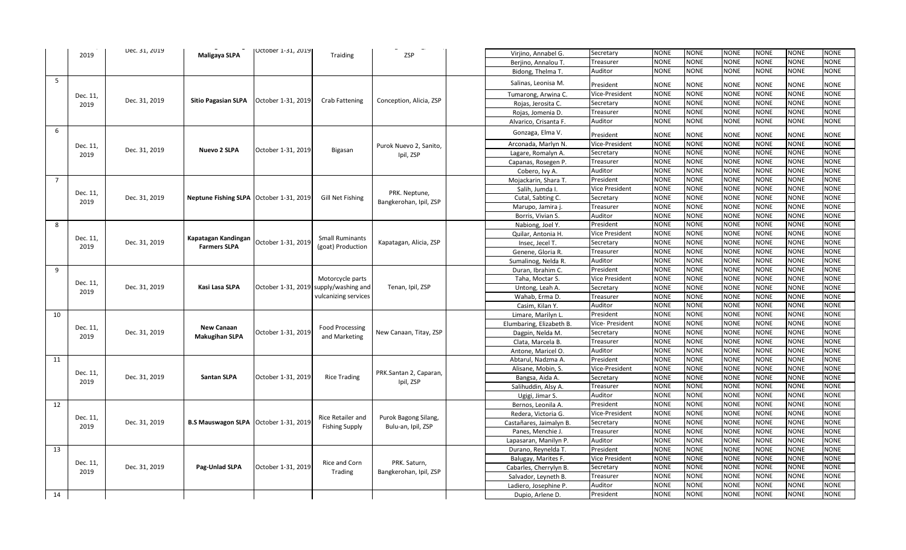|                | 2019     | Dec. 31, 2019 | Maligaya SLPA                             | <b>Uctober 1-31, 2019</b> | Traiding                              | ZSP                     | Virjino, Annabel G.      | Secretary             | <b>NONE</b> | <b>NONE</b> | <b>NONE</b> | <b>NONE</b> | <b>NONE</b> | <b>NONE</b> |
|----------------|----------|---------------|-------------------------------------------|---------------------------|---------------------------------------|-------------------------|--------------------------|-----------------------|-------------|-------------|-------------|-------------|-------------|-------------|
|                |          |               |                                           |                           |                                       |                         | Berjino, Annalou T.      | Treasurer             | <b>NONE</b> | <b>NONE</b> | <b>NONE</b> | <b>NONE</b> | <b>NONE</b> | <b>NONE</b> |
|                |          |               |                                           |                           |                                       |                         | Bidong, Thelma T.        | Auditor               | NONE        | <b>NONE</b> | <b>NONE</b> | NONE        | <b>NONE</b> | NONE        |
| 5              |          |               |                                           |                           |                                       |                         | Salinas, Leonisa M.      | President             | <b>NONE</b> | NONE        | <b>NONE</b> | <b>NONE</b> | <b>NONE</b> | <b>NONE</b> |
|                | Dec. 11, |               |                                           |                           |                                       |                         | Tumarong, Arwina C.      | Vice-President        | <b>NONE</b> | <b>NONE</b> | <b>NONE</b> | <b>NONE</b> | <b>NONE</b> | <b>NONE</b> |
|                | 2019     | Dec. 31, 2019 | <b>Sitio Pagasian SLPA</b>                | October 1-31, 2019        | <b>Crab Fattening</b>                 | Conception, Alicia, ZSP | Rojas, Jerosita C.       | Secretary             | <b>NONE</b> | <b>NONE</b> | <b>NONE</b> | <b>NONE</b> | <b>NONE</b> | <b>NONE</b> |
|                |          |               |                                           |                           |                                       |                         | Rojas, Jomenia D.        | Treasurer             | <b>NONE</b> | <b>NONE</b> | <b>NONE</b> | <b>NONE</b> | <b>NONE</b> | <b>NONE</b> |
|                |          |               |                                           |                           |                                       |                         | Alvarico, Crisanta F.    | Auditor               | <b>NONE</b> | <b>NONE</b> | <b>NONE</b> | <b>NONE</b> | <b>NONE</b> | <b>NONE</b> |
| 6              |          |               |                                           |                           |                                       |                         | Gonzaga, Elma V.         | President             | NONE        | <b>NONE</b> | NONE        | <b>NONE</b> | NONE        | <b>NONE</b> |
|                |          |               |                                           |                           |                                       |                         | Arconada, Marlyn N.      | Vice-President        | <b>NONE</b> | <b>NONE</b> | <b>NONE</b> | <b>NONE</b> | <b>NONE</b> | <b>NONE</b> |
|                | Dec. 11, | Dec. 31, 2019 | Nuevo 2 SLPA                              | October 1-31, 2019        | Bigasan                               | Purok Nuevo 2, Sanito,  |                          | Secretary             | <b>NONE</b> | <b>NONE</b> | NONE        | <b>NONE</b> | NONE        | <b>NONE</b> |
|                | 2019     |               |                                           |                           |                                       | Ipil, ZSP               | Lagare, Romalyn A.       | Treasurer             | <b>NONE</b> | <b>NONE</b> | <b>NONE</b> | <b>NONE</b> | NONE        | <b>NONE</b> |
|                |          |               |                                           |                           |                                       |                         | Capanas, Rosegen P.      | Auditor               | <b>NONE</b> | <b>NONE</b> | <b>NONE</b> | <b>NONE</b> | NONE        | <b>NONE</b> |
| $\overline{7}$ |          |               |                                           |                           |                                       |                         | Cobero, Ivy A.           | President             | <b>NONE</b> | <b>NONE</b> | <b>NONE</b> | <b>NONE</b> | <b>NONE</b> | <b>NONE</b> |
|                |          |               |                                           |                           |                                       |                         | Mojackarin, Shara T      |                       |             |             |             |             |             |             |
|                | Dec. 11, |               |                                           |                           |                                       | PRK. Neptune,           | Salih, Jumda I.          | Vice President        | <b>NONE</b> | <b>NONE</b> | <b>NONE</b> | <b>NONE</b> | <b>NONE</b> | <b>NONE</b> |
|                | 2019     | Dec. 31, 2019 | Neptune Fishing SLPA   October 1-31, 2019 |                           | Gill Net Fishing                      | Bangkerohan, Ipil, ZSP  | Cutal, Sabting C.        | Secretary             | <b>NONE</b> | <b>NONE</b> | <b>NONE</b> | <b>NONE</b> | <b>NONE</b> | <b>NONE</b> |
|                |          |               |                                           |                           |                                       |                         | Marupo, Jamira           | Treasurer             | <b>NONE</b> | <b>NONE</b> | <b>NONE</b> | <b>NONE</b> | <b>NONE</b> | <b>NONE</b> |
|                |          |               |                                           |                           |                                       |                         | Borris, Vivian S.        | Auditor               | <b>NONE</b> | <b>NONE</b> | <b>NONE</b> | <b>NONE</b> | <b>NONE</b> | <b>NONE</b> |
| 8              |          |               |                                           |                           |                                       |                         | Nabiong, Joel Y.         | President             | <b>NONE</b> | <b>NONE</b> | <b>NONE</b> | <b>NONE</b> | <b>NONE</b> | <b>NONE</b> |
|                | Dec. 11, |               | Kapatagan Kandingan                       |                           | <b>Small Ruminants</b>                |                         | Quilar, Antonia H.       | <b>Vice President</b> | <b>NONE</b> | <b>NONE</b> | <b>NONE</b> | <b>NONE</b> | <b>NONE</b> | NONE        |
|                | 2019     | Dec. 31, 2019 | <b>Farmers SLPA</b>                       | October 1-31, 2019        | (goat) Production                     | Kapatagan, Alicia, ZSP  | Insec, Jecel T.          | Secretary             | <b>NONE</b> | <b>NONE</b> | <b>NONE</b> | <b>NONE</b> | <b>NONE</b> | <b>NONE</b> |
|                |          |               |                                           |                           |                                       |                         | Genene, Gloria R         | Treasurer             | <b>NONE</b> | <b>NONE</b> | <b>NONE</b> | <b>NONE</b> | <b>NONE</b> | <b>NONE</b> |
|                |          |               |                                           |                           |                                       |                         | Sumalinog, Nelda R.      | Auditor               | NONE        | <b>NONE</b> | <b>NONE</b> | <b>NONE</b> | NONE        | <b>NONE</b> |
| 9              |          |               |                                           |                           |                                       |                         | Duran, Ibrahim C.        | President             | <b>NONE</b> | <b>NONE</b> | <b>NONE</b> | <b>NONE</b> | <b>NONE</b> | <b>NONE</b> |
|                | Dec. 11, |               |                                           |                           | Motorcycle parts                      |                         | Taha, Moctar S.          | <b>Vice President</b> | <b>NONE</b> | <b>NONE</b> | <b>NONE</b> | NONE        | NONE        | <b>NONE</b> |
|                | 2019     | Dec. 31, 2019 | Kasi Lasa SLPA                            |                           | October 1-31, 2019 supply/washing and | Tenan, Ipil, ZSP        | Untong, Leah A.          | Secretary             | <b>NONE</b> | <b>NONE</b> | <b>NONE</b> | <b>NONE</b> | <b>NONE</b> | <b>NONE</b> |
|                |          |               |                                           |                           | vulcanizing services                  |                         | Wahab, Erma D.           | Treasurer             | <b>NONE</b> | <b>NONE</b> | <b>NONE</b> | <b>NONE</b> | <b>NONE</b> | <b>NONE</b> |
|                |          |               |                                           |                           |                                       |                         | Casim, Kilan Y.          | Auditor               | <b>NONE</b> | <b>NONE</b> | <b>NONE</b> | <b>NONE</b> | <b>NONE</b> | <b>NONE</b> |
| 10             |          |               |                                           |                           |                                       |                         | Limare, Marilyn L.       | President             | <b>NONE</b> | <b>NONE</b> | <b>NONE</b> | <b>NONE</b> | <b>NONE</b> | <b>NONE</b> |
|                |          |               |                                           |                           |                                       |                         | Elumbaring, Elizabeth B. | Vice- President       | <b>NONE</b> | <b>NONE</b> | <b>NONE</b> | <b>NONE</b> | <b>NONE</b> | NONE        |
|                | Dec. 11, | Dec. 31, 2019 | <b>New Canaan</b>                         | October 1-31, 2019        | <b>Food Processing</b>                | New Canaan, Titay, ZSP  | Dagpin, Nelda M.         | Secretary             | <b>NONE</b> | <b>NONE</b> | <b>NONE</b> | <b>NONE</b> | <b>NONE</b> | <b>NONE</b> |
|                | 2019     |               | <b>Makugihan SLPA</b>                     |                           | and Marketing                         |                         | Clata, Marcela B.        | Treasurer             | <b>NONE</b> | <b>NONE</b> | <b>NONE</b> | <b>NONE</b> | <b>NONE</b> | <b>NONE</b> |
|                |          |               |                                           |                           |                                       |                         | Antone, Maricel O.       | Auditor               | <b>NONE</b> | <b>NONE</b> | <b>NONE</b> | <b>NONE</b> | <b>NONE</b> | <b>NONE</b> |
| 11             |          |               |                                           |                           |                                       |                         | Abtarul, Nadzma A        | President             | <b>NONE</b> | <b>NONE</b> | <b>NONE</b> | <b>NONE</b> | <b>NONE</b> | <b>NONE</b> |
|                |          |               |                                           |                           |                                       |                         | Alisane, Mobin, S.       | Vice-President        | <b>NONE</b> | <b>NONE</b> | <b>NONE</b> | <b>NONE</b> | <b>NONE</b> | <b>NONE</b> |
|                | Dec. 11, | Dec. 31, 2019 | <b>Santan SLPA</b>                        | October 1-31, 2019        | <b>Rice Trading</b>                   | PRK.Santan 2, Caparan,  | Bangsa, Aida A.          | Secretary             | <b>NONE</b> | <b>NONE</b> | <b>NONE</b> | <b>NONE</b> | <b>NONE</b> | <b>NONE</b> |
|                | 2019     |               |                                           |                           |                                       | Ipil, ZSP               | Salihuddin, Alsy A.      | Treasurer             | <b>NONE</b> | <b>NONE</b> | <b>NONE</b> | <b>NONE</b> | <b>NONE</b> | <b>NONE</b> |
|                |          |               |                                           |                           |                                       |                         | Ugigi, Jimar S.          | Auditor               | <b>NONE</b> | <b>NONE</b> | <b>NONE</b> | <b>NONE</b> | <b>NONE</b> | <b>NONE</b> |
| 12             |          |               |                                           |                           |                                       |                         | Bernos, Leonila A        | President             | <b>NONE</b> | <b>NONE</b> | <b>NONE</b> | <b>NONE</b> | <b>NONE</b> | <b>NONE</b> |
|                |          |               |                                           |                           |                                       |                         | Redera, Victoria G.      | Vice-President        | <b>NONE</b> | <b>NONE</b> | <b>NONE</b> | <b>NONE</b> | <b>NONE</b> | <b>NONE</b> |
|                | Dec. 11, | Dec. 31, 2019 | B.S Mauswagon SLPA   October 1-31, 2019   |                           | Rice Retailer and                     | Purok Bagong Silang,    | Castañares, Jaimalyn B.  | Secretary             | <b>NONE</b> | <b>NONE</b> | <b>NONE</b> | <b>NONE</b> | <b>NONE</b> | <b>NONE</b> |
|                | 2019     |               |                                           |                           | <b>Fishing Supply</b>                 | Bulu-an, Ipil, ZSP      | Panes, Menchie J         | Treasurer             | <b>NONE</b> | <b>NONE</b> | <b>NONE</b> | <b>NONE</b> | <b>NONE</b> | <b>NONE</b> |
|                |          |               |                                           |                           |                                       |                         | Lapasaran, Manilyn P.    | Auditor               | <b>NONE</b> | <b>NONE</b> | <b>NONE</b> | NONE        | NONE        | NONE        |
| 13             |          |               |                                           |                           |                                       |                         | Durano, Reynelda T.      | President             | NONE        | <b>NONE</b> | <b>NONE</b> | NONE        | NONE        | <b>NONE</b> |
|                |          |               |                                           |                           |                                       |                         | Balugay, Marites F.      | Vice President        | NONE        | <b>NONE</b> | NONE        | NONE        | NONE        | NONE        |
|                | Dec. 11, | Dec. 31, 2019 | Pag-Unlad SLPA                            | October 1-31, 2019        | Rice and Corn                         | PRK. Saturn,            | Cabarles, Cherrylyn B.   | Secretary             | <b>NONE</b> | <b>NONE</b> | <b>NONE</b> | NONE        | NONE        | <b>NONE</b> |
|                | 2019     |               |                                           |                           | Trading                               | Bangkerohan, Ipil, ZSP  | Salvador, Leyneth B      | Treasurer             | NONE        | <b>NONE</b> | <b>NONE</b> | NONE        | NONE        | NONE        |
|                |          |               |                                           |                           |                                       |                         | Ladiero, Josephine P.    | Auditor               | NONE        | <b>NONE</b> | <b>NONE</b> | NONE        | <b>NONE</b> | NONE        |
| 14             |          |               |                                           |                           |                                       |                         | Dupio, Arlene D.         | President             | <b>NONE</b> | <b>NONE</b> | <b>NONE</b> | <b>NONE</b> | <b>NONE</b> | <b>NONE</b> |
|                |          |               |                                           |                           |                                       |                         |                          |                       |             |             |             |             |             |             |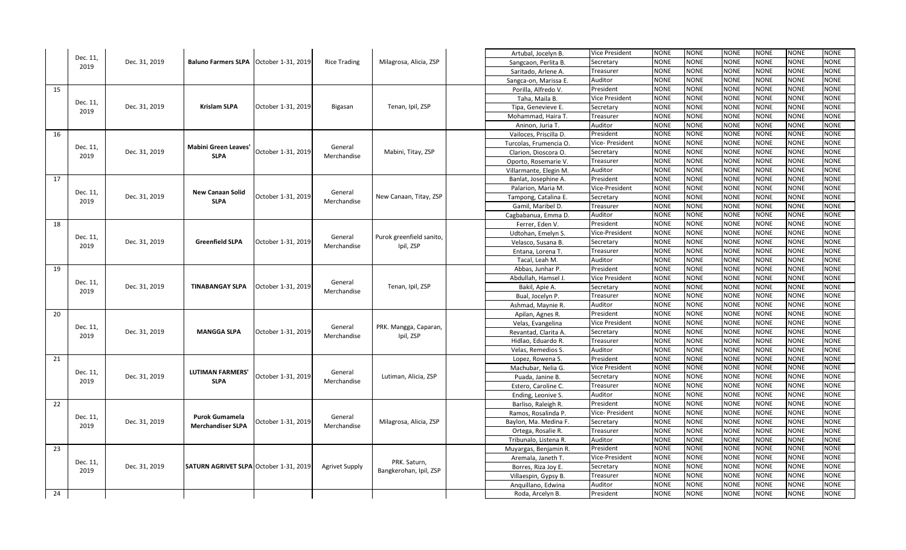|    |                  |               |                                          |                    |                        |                          | Artubal, Jocelyn B.    | Vice President  | NONE        | NONE        | <b>NONE</b> | NONE        | <b>NONE</b> | <b>NONE</b> |
|----|------------------|---------------|------------------------------------------|--------------------|------------------------|--------------------------|------------------------|-----------------|-------------|-------------|-------------|-------------|-------------|-------------|
|    | Dec. 11,<br>2019 | Dec. 31, 2019 | Baluno Farmers SLPA   October 1-31, 2019 |                    | <b>Rice Trading</b>    | Milagrosa, Alicia, ZSP   | Sangcaon, Perlita B.   | Secretary       | NONE        | NONE        | <b>NONE</b> | <b>NONE</b> | <b>NONE</b> | <b>NONE</b> |
|    |                  |               |                                          |                    |                        |                          | Saritado, Arlene A.    | Treasurer       | <b>NONE</b> | <b>NONE</b> | <b>NONE</b> | <b>NONE</b> | <b>NONE</b> | <b>NONE</b> |
|    |                  |               |                                          |                    |                        |                          | Sangca-on, Marissa E.  | Auditor         | <b>NONE</b> | <b>NONE</b> | <b>NONE</b> | <b>NONE</b> | <b>NONE</b> | <b>NONE</b> |
| 15 |                  |               |                                          |                    |                        |                          | Porilla, Alfredo V.    | President       | NONE        | NONE        | <b>NONE</b> | <b>NONE</b> | <b>NONE</b> | <b>NONE</b> |
|    |                  |               |                                          |                    |                        |                          | Taha, Maila B.         | Vice President  | NONE        | <b>NONE</b> | <b>NONE</b> | NONE        | <b>NONE</b> | <b>NONE</b> |
|    | Dec. 11,<br>2019 | Dec. 31, 2019 | <b>Krislam SLPA</b>                      | October 1-31, 2019 | Bigasan                | Tenan, Ipil, ZSP         | Tipa, Genevieve E.     | Secretary       | <b>NONE</b> | <b>NONE</b> | <b>NONE</b> | <b>NONE</b> | <b>NONE</b> | <b>NONE</b> |
|    |                  |               |                                          |                    |                        |                          | Mohammad, Haira T.     | Treasurer       | <b>NONE</b> | NONE        | <b>NONE</b> | <b>NONE</b> | <b>NONE</b> | <b>NONE</b> |
|    |                  |               |                                          |                    |                        |                          | Aninon, Juria T.       | Auditor         | NONE        | <b>NONE</b> | <b>NONE</b> | <b>NONE</b> | NONE        | <b>NONE</b> |
| 16 |                  |               |                                          |                    |                        |                          | Vailoces, Priscilla D. | President       | <b>NONE</b> | <b>NONE</b> | <b>NONE</b> | <b>NONE</b> | <b>NONE</b> | <b>NONE</b> |
|    | Dec. 11,         |               | Mabini Green Leaves                      |                    |                        |                          | Turcolas, Frumencia O. | Vice- President | <b>NONE</b> | <b>NONE</b> | <b>NONE</b> | <b>NONE</b> | <b>NONE</b> | <b>NONE</b> |
|    | 2019             | Dec. 31, 2019 | <b>SLPA</b>                              | October 1-31, 2019 | General<br>Merchandise | Mabini, Titay, ZSP       | Clarion, Dioscora O.   | Secretary       | NONE        | <b>NONE</b> | <b>NONE</b> | <b>NONE</b> | NONE        | <b>NONE</b> |
|    |                  |               |                                          |                    |                        |                          | Oporto, Rosemarie V.   | Treasurer       | NONE        | <b>NONE</b> | <b>NONE</b> | NONE        | <b>NONE</b> | <b>NONE</b> |
|    |                  |               |                                          |                    |                        |                          | Villarmante, Elegin M. | Auditor         | <b>NONE</b> | <b>NONE</b> | <b>NONE</b> | <b>NONE</b> | <b>NONE</b> | <b>NONE</b> |
| 17 |                  |               |                                          |                    |                        |                          | Banlat, Josephine A.   | President       | <b>NONE</b> | <b>NONE</b> | <b>NONE</b> | <b>NONE</b> | NONE        | <b>NONE</b> |
|    |                  |               | <b>New Canaan Solid</b>                  |                    |                        |                          | Palarion, Maria M      | Vice-President  | NONE        | <b>NONE</b> | <b>NONE</b> | <b>NONE</b> | VONE        | <b>NONE</b> |
|    | Dec. 11,<br>2019 | Dec. 31, 2019 | <b>SLPA</b>                              | October 1-31, 2019 | General<br>Merchandise | New Canaan, Titay, ZSP   | Tampong, Catalina E.   | Secretary       | <b>NONE</b> | <b>NONE</b> | <b>NONE</b> | <b>NONE</b> | <b>NONE</b> | <b>NONE</b> |
|    |                  |               |                                          |                    |                        |                          | Gamil, Maribel D.      | Treasurer       | <b>NONE</b> | <b>NONE</b> | <b>NONE</b> | <b>NONE</b> | NONE        | <b>NONE</b> |
|    |                  |               |                                          |                    |                        |                          | Cagbabanua, Emma D.    | Auditor         | NONE        | <b>NONE</b> | <b>NONE</b> | <b>NONE</b> | <b>NONE</b> | <b>NONE</b> |
| 18 |                  |               |                                          |                    |                        |                          | Ferrer, Eden V.        | President       | NONE        | <b>NONE</b> | <b>NONE</b> | NONE        | <b>NONE</b> | <b>NONE</b> |
|    | Dec. 11,         |               |                                          |                    | General                | Purok greenfield sanito, | Udtohan, Emelyn S.     | Vice-President  | <b>NONE</b> | <b>NONE</b> | <b>NONE</b> | <b>NONE</b> | NONE        | <b>NONE</b> |
|    | 2019             | Dec. 31, 2019 | <b>Greenfield SLPA</b>                   | October 1-31, 2019 | Merchandise            | Ipil, ZSP                | Velasco, Susana B.     | Secretary       | NONE        | <b>NONE</b> | <b>NONE</b> | <b>NONE</b> | <b>NONE</b> | <b>NONE</b> |
|    |                  |               |                                          |                    |                        |                          | Entana, Lorena T.      | Treasurer       | NONE        | <b>NONE</b> | <b>NONE</b> | NONE        | NONE        | NONE        |
|    |                  |               |                                          |                    |                        |                          | Tacal, Leah M.         | Auditor         | <b>NONE</b> | <b>NONE</b> | <b>NONE</b> | <b>NONE</b> | NONE        | <b>NONE</b> |
| 19 |                  |               |                                          |                    |                        |                          | Abbas, Junhar P.       | President       | <b>NONE</b> | <b>NONE</b> | <b>NONE</b> | <b>NONE</b> | <b>NONE</b> | <b>NONE</b> |
|    | Dec. 11,         |               |                                          |                    | General                |                          | Abdullah, Hamsel .     | Vice President  | NONE        | <b>NONE</b> | <b>NONE</b> | <b>NONE</b> | VONE        | <b>NONE</b> |
|    | 2019             | Dec. 31, 2019 | <b>TINABANGAY SLPA</b>                   | October 1-31, 2019 | Merchandise            | Tenan, Ipil, ZSP         | Bakil, Apie A.         | Secretary       | NONE        | <b>NONE</b> | <b>NONE</b> | NONE        | NONE        | <b>NONE</b> |
|    |                  |               |                                          |                    |                        |                          | Bual, Jocelyn P.       | Treasurer       | <b>NONE</b> | <b>NONE</b> | <b>NONE</b> | <b>NONE</b> | NONE        | <b>NONE</b> |
|    |                  |               |                                          |                    |                        |                          | Ashmad, Maynie R       | Auditor         | NONE        | <b>NONE</b> | <b>NONE</b> | <b>NONE</b> | <b>NONE</b> | <b>NONE</b> |
| 20 |                  |               |                                          |                    |                        |                          | Apilan, Agnes R.       | President       | NONE        | <b>NONE</b> | <b>NONE</b> | NONE        | NONE        | NONE        |
|    | Dec. 11,         |               |                                          |                    | General                | PRK. Mangga, Caparan,    | Velas, Evangelina      | Vice President  | <b>NONE</b> | <b>NONE</b> | <b>NONE</b> | <b>NONE</b> | <b>NONE</b> | <b>NONE</b> |
|    | 2019             | Dec. 31, 2019 | <b>MANGGA SLPA</b>                       | October 1-31, 2019 | Merchandise            | Ipil, ZSP                | Revantad, Clarita A    | Secretary       | <b>NONE</b> | <b>NONE</b> | <b>NONE</b> | <b>NONE</b> | NONE        | <b>NONE</b> |
|    |                  |               |                                          |                    |                        |                          | Hidlao, Eduardo R.     | Treasurer       | <b>NONE</b> | <b>NONE</b> | <b>NONE</b> | <b>NONE</b> | NONE        | <b>NONE</b> |
|    |                  |               |                                          |                    |                        |                          | Velas, Remedios S.     | Auditor         | NONE        | <b>NONE</b> | <b>NONE</b> | NONE        | NONE        | <b>NONE</b> |
| 21 |                  |               |                                          |                    |                        |                          | Lopez, Rowena S.       | President       | <b>NONE</b> | <b>NONE</b> | <b>NONE</b> | <b>NONE</b> | <b>NONE</b> | <b>NONE</b> |
|    | Dec. 11,         |               | <b>LUTIMAN FARMERS'</b>                  |                    | General                |                          | Machubar, Nelia G      | Vice President  | <b>NONE</b> | <b>NONE</b> | <b>NONE</b> | <b>NONE</b> | NONE        | <b>NONE</b> |
|    | 2019             | Dec. 31, 2019 | <b>SLPA</b>                              | October 1-31, 2019 | Merchandise            | Lutiman, Alicia, ZSP     | Puada, Janine B.       | Secretary       | <b>NONE</b> | <b>NONE</b> | <b>NONE</b> | NONE        | NONE        | NONE        |
|    |                  |               |                                          |                    |                        |                          | Estero, Caroline C.    | Treasurer       | <b>NONE</b> | <b>NONE</b> | <b>NONE</b> | <b>NONE</b> | NONE        | <b>NONE</b> |
|    |                  |               |                                          |                    |                        |                          | Ending, Leonive S.     | Auditor         | <b>NONE</b> | <b>NONE</b> | <b>NONE</b> | <b>NONE</b> | NONE        | <b>NONE</b> |
| 22 |                  |               |                                          |                    |                        |                          | Barliso, Raleigh R.    | President       | NONE        | <b>NONE</b> | <b>NONE</b> | NONE        | NONE        | NONE        |
|    | Dec. 11,         |               | <b>Purok Gumamela</b>                    |                    | General                |                          | Ramos, Rosalinda P.    | Vice- President | <b>NONE</b> | <b>NONE</b> | <b>NONE</b> | <b>NONE</b> | NONE        | <b>NONE</b> |
|    | 2019             | Dec. 31, 2019 | <b>Merchandiser SLPA</b>                 | October 1-31, 2019 | Merchandise            | Milagrosa, Alicia, ZSP   | Baylon, Ma. Medina F.  | Secretary       | <b>NONE</b> | <b>NONE</b> | <b>NONE</b> | <b>NONE</b> | NONE        | <b>NONE</b> |
|    |                  |               |                                          |                    |                        |                          | Ortega, Rosalie R.     | Treasurer       | <b>NONE</b> | <b>NONE</b> | <b>NONE</b> | <b>NONE</b> | NONE        | <b>NONE</b> |
|    |                  |               |                                          |                    |                        |                          | Tribunalo, Listena R.  | Auditor         | <b>NONE</b> | <b>NONE</b> | <b>NONE</b> | <b>NONE</b> | NONE        | NONE        |
| 23 |                  |               |                                          |                    |                        |                          | Muyargas, Benjamin R.  | President       | NONE        | <b>NONE</b> | <b>NONE</b> | <b>NONE</b> | NONE        | <b>NONE</b> |
|    | Dec. 11,         |               |                                          |                    |                        | PRK. Saturn,             | Aremala, Janeth T.     | Vice-President  | <b>NONE</b> | <b>NONE</b> | <b>NONE</b> | <b>NONE</b> | NONE        | <b>NONE</b> |
|    | 2019             | Dec. 31, 2019 | SATURN AGRIVET SLPA October 1-31, 2019   |                    | <b>Agrivet Supply</b>  | Bangkerohan, Ipil, ZSP   | Borres, Riza Joy E.    | Secretary       | <b>NONE</b> | <b>NONE</b> | <b>NONE</b> | <b>NONE</b> | NONE        | <b>NONE</b> |
|    |                  |               |                                          |                    |                        |                          | Villaespin, Gypsy B.   | Treasurer       | <b>NONE</b> | <b>NONE</b> | <b>NONE</b> | NONE        | NONE        | <b>NONE</b> |
|    |                  |               |                                          |                    |                        |                          | Anquillano, Edwina     | Auditor         | <b>NONE</b> | <b>NONE</b> | <b>NONE</b> | <b>NONE</b> | <b>NONE</b> | <b>NONE</b> |
| 24 |                  |               |                                          |                    |                        |                          | Roda, Arcelyn B.       | President       | <b>NONE</b> | <b>NONE</b> | <b>NONE</b> | <b>NONE</b> | <b>NONE</b> | <b>NONE</b> |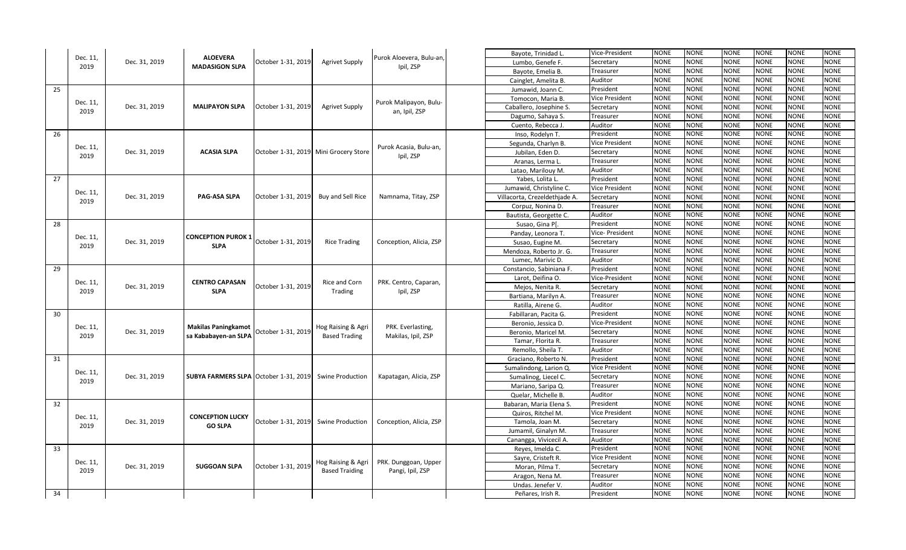|    |                  |               | <b>ALOEVERA</b>                              |                    |                                       |                                       | Bayote, Trinidad L            | Vice-President        | NONE        | NONE        | <b>NONE</b> | NONE        | NONE        | <b>NONE</b> |
|----|------------------|---------------|----------------------------------------------|--------------------|---------------------------------------|---------------------------------------|-------------------------------|-----------------------|-------------|-------------|-------------|-------------|-------------|-------------|
|    | Dec. 11,<br>2019 | Dec. 31, 2019 | <b>MADASIGON SLPA</b>                        | October 1-31, 2019 | <b>Agrivet Supply</b>                 | Purok Aloevera, Bulu-an,<br>Ipil, ZSP | Lumbo, Genefe F.              | Secretary             | NONE        | NONE        | <b>NONE</b> | <b>NONE</b> | <b>NONE</b> | <b>NONE</b> |
|    |                  |               |                                              |                    |                                       |                                       | Bayote, Emelia B.             | Treasurer             | <b>NONE</b> | <b>NONE</b> | <b>NONE</b> | <b>NONE</b> | <b>NONE</b> | <b>NONE</b> |
|    |                  |               |                                              |                    |                                       |                                       | Cainglet, Amelita B.          | Auditor               | <b>NONE</b> | <b>NONE</b> | <b>NONE</b> | <b>NONE</b> | <b>NONE</b> | <b>NONE</b> |
| 25 |                  |               |                                              |                    |                                       |                                       | Jumawid, Joann C.             | President             | NONE        | NONE        | <b>NONE</b> | <b>NONE</b> | <b>NONE</b> | <b>NONE</b> |
|    |                  |               |                                              |                    |                                       |                                       | Tomocon, Maria B              | Vice President        | NONE        | <b>NONE</b> | <b>NONE</b> | NONE        | <b>NONE</b> | <b>NONE</b> |
|    | Dec. 11,<br>2019 | Dec. 31, 2019 | <b>MALIPAYON SLPA</b>                        | October 1-31, 2019 | <b>Agrivet Supply</b>                 | Purok Malipayon, Bulu-                | Caballero, Josephine S.       | Secretary             | <b>NONE</b> | <b>NONE</b> | <b>NONE</b> | <b>NONE</b> | <b>NONE</b> | <b>NONE</b> |
|    |                  |               |                                              |                    |                                       | an, Ipil, ZSP                         | Dagumo, Sahaya S.             | Treasurer             | <b>NONE</b> | NONE        | <b>NONE</b> | <b>NONE</b> | <b>NONE</b> | <b>NONE</b> |
|    |                  |               |                                              |                    |                                       |                                       | Cuento, Rebecca J             | Auditor               | NONE        | <b>NONE</b> | <b>NONE</b> | <b>NONE</b> | NONE        | <b>NONE</b> |
| 26 |                  |               |                                              |                    |                                       |                                       | Inso, Rodelyn T.              | President             | <b>NONE</b> | <b>NONE</b> | <b>NONE</b> | <b>NONE</b> | <b>NONE</b> | <b>NONE</b> |
|    | Dec. 11,         |               |                                              |                    |                                       |                                       | Segunda, Charlyn B.           | Vice President        | <b>NONE</b> | NONE        | <b>NONE</b> | <b>NONE</b> | <b>NONE</b> | <b>NONE</b> |
|    | 2019             | Dec. 31, 2019 | <b>ACASIA SLPA</b>                           |                    | October 1-31, 2019 Mini Grocery Store | Purok Acasia, Bulu-an,<br>Ipil, ZSP   | Jubilan, Eden D.              | Secretary             | NONE        | <b>NONE</b> | <b>NONE</b> | <b>NONE</b> | NONE        | <b>NONE</b> |
|    |                  |               |                                              |                    |                                       |                                       | Aranas, Lerma L.              | Treasurer             | NONE        | <b>NONE</b> | <b>NONE</b> | NONE        | <b>NONE</b> | <b>NONE</b> |
|    |                  |               |                                              |                    |                                       |                                       | Latao, Marilouy M.            | Auditor               | <b>NONE</b> | <b>NONE</b> | <b>NONE</b> | <b>NONE</b> | <b>NONE</b> | <b>NONE</b> |
| 27 |                  |               |                                              |                    |                                       |                                       | Yabes, Lolita L.              | President             | <b>NONE</b> | <b>NONE</b> | <b>NONE</b> | <b>NONE</b> | NONE        | <b>NONE</b> |
|    |                  |               |                                              |                    |                                       |                                       | Jumawid, Christyline C.       | Vice President        | NONE        | <b>NONE</b> | <b>NONE</b> | <b>NONE</b> | VONE        | <b>NONE</b> |
|    | Dec. 11,<br>2019 | Dec. 31, 2019 | PAG-ASA SLPA                                 | October 1-31, 2019 | Buy and Sell Rice                     | Namnama, Titay, ZSP                   | Villacorta, Crezeldethjade A. | Secretary             | <b>NONE</b> | <b>NONE</b> | <b>NONE</b> | <b>NONE</b> | <b>NONE</b> | <b>NONE</b> |
|    |                  |               |                                              |                    |                                       |                                       | Corpuz, Nonina D.             | Treasurer             | <b>NONE</b> | <b>NONE</b> | <b>NONE</b> | <b>NONE</b> | NONE        | <b>NONE</b> |
|    |                  |               |                                              |                    |                                       |                                       | Bautista, Georgette C.        | Auditor               | NONE        | <b>NONE</b> | <b>NONE</b> | <b>NONE</b> | <b>NONE</b> | <b>NONE</b> |
| 28 |                  |               |                                              |                    |                                       |                                       | Susao, Gina Pl                | President             | NONE        | <b>NONE</b> | <b>NONE</b> | NONE        | <b>NONE</b> | <b>NONE</b> |
|    | Dec. 11,         |               | <b>CONCEPTION PUROK 1</b>                    |                    |                                       |                                       | Panday, Leonora T.            | Vice- President       | <b>NONE</b> | <b>NONE</b> | <b>NONE</b> | <b>NONE</b> | NONE        | <b>NONE</b> |
|    | 2019             | Dec. 31, 2019 | <b>SLPA</b>                                  | October 1-31, 2019 | <b>Rice Trading</b>                   | Conception, Alicia, ZSP               | Susao, Eugine M.              | Secretary             | NONE        | <b>NONE</b> | <b>NONE</b> | <b>NONE</b> | <b>NONE</b> | <b>NONE</b> |
|    |                  |               |                                              |                    |                                       |                                       | Mendoza, Roberto Jr. G.       | Treasurer             | NONE        | <b>NONE</b> | <b>NONE</b> | NONE        | NONE        | NONE        |
|    |                  |               |                                              |                    |                                       |                                       | Lumec, Marivic D.             | Auditor               | <b>NONE</b> | <b>NONE</b> | <b>NONE</b> | <b>NONE</b> | NONE        | <b>NONE</b> |
| 29 |                  |               |                                              |                    |                                       |                                       | Constancio, Sabiniana F.      | President             | <b>NONE</b> | <b>NONE</b> | <b>NONE</b> | <b>NONE</b> | <b>NONE</b> | <b>NONE</b> |
|    |                  |               | <b>CENTRO CAPASAN</b><br><b>SLPA</b>         | October 1-31, 2019 | Rice and Corn<br>Trading              | PRK. Centro, Caparan,<br>Ipil, ZSP    | Larot, Deifina O.             | Vice-President        | NONE        | <b>NONE</b> | <b>NONE</b> | <b>NONE</b> | VONE        | <b>NONE</b> |
|    | Dec. 11,<br>2019 | Dec. 31, 2019 |                                              |                    |                                       |                                       | Mejos, Nenita R.              | Secretary             | NONE        | <b>NONE</b> | <b>NONE</b> | <b>NONE</b> | NONE        | <b>NONE</b> |
|    |                  |               |                                              |                    |                                       |                                       | Bartiana, Marilyn A.          | Treasurer             | <b>NONE</b> | <b>NONE</b> | <b>NONE</b> | <b>NONE</b> | NONE        | <b>NONE</b> |
|    |                  |               |                                              |                    |                                       |                                       | Ratilla, Airene G.            | Auditor               | NONE        | <b>NONE</b> | <b>NONE</b> | <b>NONE</b> | <b>NONE</b> | <b>NONE</b> |
| 30 |                  |               |                                              |                    |                                       |                                       | Fabillaran, Pacita G.         | President             | NONE        | <b>NONE</b> | <b>NONE</b> | NONE        | NONE        | NONE        |
|    | Dec. 11,         |               | <b>Makilas Paningkamot</b>                   |                    | Hog Raising & Agri                    | PRK. Everlasting,                     | Beronio, Jessica D.           | Vice-President        | <b>NONE</b> | <b>NONE</b> | <b>NONE</b> | <b>NONE</b> | <b>NONE</b> | <b>NONE</b> |
|    | 2019             | Dec. 31, 2019 | sa Kababayen-an SLPA                         | October 1-31, 2019 | <b>Based Trading</b>                  | Makilas, Ipil, ZSP                    | Beronio, Maricel M            | Secretary             | <b>NONE</b> | <b>NONE</b> | <b>NONE</b> | <b>NONE</b> | NONE        | <b>NONE</b> |
|    |                  |               |                                              |                    |                                       |                                       | Tamar, Florita R.             | Treasurer             | <b>NONE</b> | <b>NONE</b> | <b>NONE</b> | <b>NONE</b> | NONE        | <b>NONE</b> |
|    |                  |               |                                              |                    |                                       |                                       | Remollo, Sheila T.            | Auditor               | NONE        | <b>NONE</b> | <b>NONE</b> | NONE        | NONE        | <b>NONE</b> |
| 31 |                  |               |                                              |                    |                                       |                                       | Graciano, Roberto N           | President             | <b>NONE</b> | <b>NONE</b> | <b>NONE</b> | <b>NONE</b> | <b>NONE</b> | <b>NONE</b> |
|    | Dec. 11,         |               |                                              |                    |                                       |                                       | Sumalindong, Larion Q.        | Vice President        | <b>NONE</b> | <b>NONE</b> | <b>NONE</b> | <b>NONE</b> | NONE        | <b>NONE</b> |
|    | 2019             | Dec. 31, 2019 | <b>SUBYA FARMERS SLPA October 1-31, 2019</b> |                    | Swine Production                      | Kapatagan, Alicia, ZSP                | Sumalinog, Liecel C.          | Secretary             | <b>NONE</b> | NONE        | <b>NONE</b> | <b>NONE</b> | NONE        | NONE        |
|    |                  |               |                                              |                    |                                       |                                       | Mariano, Saripa Q.            | Treasurer             | <b>NONE</b> | <b>NONE</b> | <b>NONE</b> | <b>NONE</b> | NONE        | <b>NONE</b> |
|    |                  |               |                                              |                    |                                       |                                       | Quelar, Michelle B.           | Auditor               | <b>NONE</b> | <b>NONE</b> | <b>NONE</b> | <b>NONE</b> | NONE        | <b>NONE</b> |
| 32 |                  |               |                                              |                    |                                       |                                       | Babaran, Maria Elena S.       | President             | <b>NONE</b> | <b>NONE</b> | <b>NONE</b> | <b>NONE</b> | NONE        | NONE        |
|    | Dec. 11,         |               | <b>CONCEPTION LUCKY</b>                      |                    |                                       |                                       | Quiros, Ritchel M.            | <b>Vice President</b> | <b>NONE</b> | <b>NONE</b> | <b>NONE</b> | <b>NONE</b> | NONE        | <b>NONE</b> |
|    | 2019             | Dec. 31, 2019 | <b>GO SLPA</b>                               | October 1-31, 2019 | Swine Production                      | Conception, Alicia, ZSP               | Tamola, Joan M.               | Secretary             | <b>NONE</b> | <b>NONE</b> | <b>NONE</b> | <b>NONE</b> | NONE        | <b>NONE</b> |
|    |                  |               |                                              |                    |                                       |                                       | Jumamil, Ginalyn M.           | Treasurer             | <b>NONE</b> | <b>NONE</b> | <b>NONE</b> | <b>NONE</b> | NONE        | <b>NONE</b> |
|    |                  |               |                                              |                    |                                       |                                       | Canangga, Vivicecil A         | Auditor               | <b>NONE</b> | <b>NONE</b> | <b>NONE</b> | <b>NONE</b> | NONE        | NONE        |
| 33 |                  |               |                                              |                    |                                       |                                       | Reyes, Imelda C.              | President             | NONE        | <b>NONE</b> | <b>NONE</b> | <b>NONE</b> | NONE        | <b>NONE</b> |
|    | Dec. 11,         |               |                                              |                    | Hog Raising & Agri                    | PRK. Dunggoan, Upper                  | Sayre, Cristeft R.            | Vice President        | <b>NONE</b> | <b>NONE</b> | <b>NONE</b> | <b>NONE</b> | NONE        | <b>NONE</b> |
|    | 2019             | Dec. 31, 2019 | <b>SUGGOAN SLPA</b>                          | October 1-31, 2019 | <b>Based Traiding</b>                 | Pangi, Ipil, ZSP                      | Moran, Pilma T.               | Secretary             | <b>NONE</b> | <b>NONE</b> | <b>NONE</b> | <b>NONE</b> | NONE        | <b>NONE</b> |
|    |                  |               |                                              |                    |                                       |                                       | Aragon, Nena M.               | Treasurer             | <b>NONE</b> | <b>NONE</b> | <b>NONE</b> | NONE        | NONE        | <b>NONE</b> |
|    |                  |               |                                              |                    |                                       |                                       | Undas. Jenefer V.             | Auditor               | <b>NONE</b> | <b>NONE</b> | <b>NONE</b> | <b>NONE</b> | <b>NONE</b> | <b>NONE</b> |
| 34 |                  |               |                                              |                    |                                       |                                       | Peñares, Irish R.             | President             | <b>NONE</b> | <b>NONE</b> | <b>NONE</b> | <b>NONE</b> | <b>NONE</b> | <b>NONE</b> |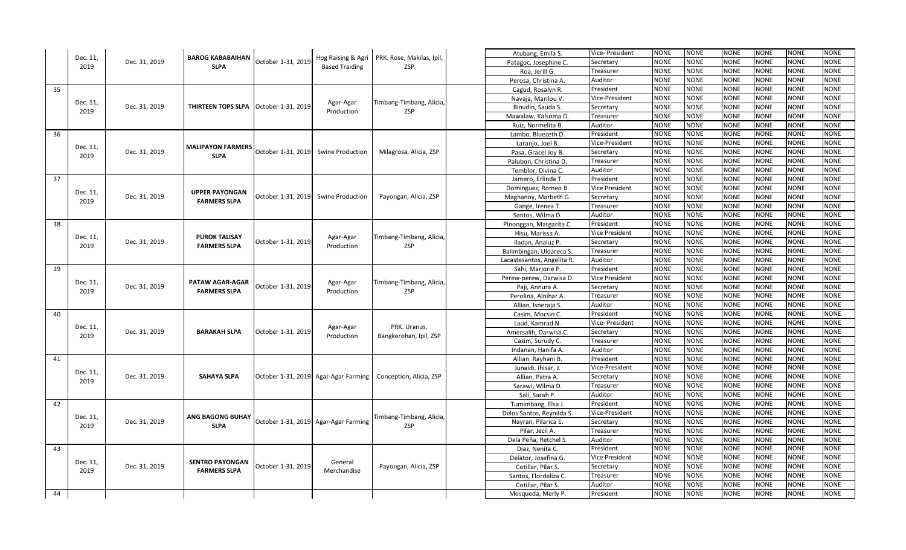|    |                  |               | <b>BAROG KABABAIHAN</b>                |                    |                                             | PRK. Rose, Makilas, Ipil,                                      | Atubang, Emila S.          | Vice- President | NONE        | NONE        | <b>NONE</b> | NONE        | NONE        | <b>NONE</b> |
|----|------------------|---------------|----------------------------------------|--------------------|---------------------------------------------|----------------------------------------------------------------|----------------------------|-----------------|-------------|-------------|-------------|-------------|-------------|-------------|
|    | Dec. 11,<br>2019 | Dec. 31, 2019 | <b>SLPA</b>                            | October 1-31, 2019 | Hog Raising & Agri<br><b>Based Traiding</b> | ZSP                                                            | Patagoc, Josephine C.      | Secretary       | NONE        | NONE        | <b>NONE</b> | <b>NONE</b> | <b>NONE</b> | <b>NONE</b> |
|    |                  |               |                                        |                    |                                             |                                                                | Roa, Jerill G.             | Treasurer       | <b>NONE</b> | <b>NONE</b> | <b>NONE</b> | <b>NONE</b> | <b>NONE</b> | <b>NONE</b> |
|    |                  |               |                                        |                    |                                             |                                                                | Perosa, Christina A.       | Auditor         | <b>NONE</b> | <b>NONE</b> | <b>NONE</b> | <b>NONE</b> | <b>NONE</b> | <b>NONE</b> |
| 35 |                  |               |                                        |                    |                                             |                                                                | Cagud, Rosalyn R.          | President       | NONE        | NONE        | <b>NONE</b> | <b>NONE</b> | <b>NONE</b> | <b>NONE</b> |
|    |                  |               |                                        |                    |                                             |                                                                | Navaja, Marilou V.         | Vice-President  | NONE        | <b>NONE</b> | <b>NONE</b> | NONE        | <b>NONE</b> | <b>NONE</b> |
|    | Dec. 11,         | Dec. 31, 2019 | THIRTEEN TOPS SLPA                     | October 1-31, 2019 | Agar-Agar                                   | Timbang-Timbang, Alicia,<br><b>ZSP</b>                         | Binudin, Sauda S.          | Secretary       | <b>NONE</b> | <b>NONE</b> | <b>NONE</b> | <b>NONE</b> | <b>NONE</b> | <b>NONE</b> |
|    | 2019             |               |                                        |                    | Production                                  |                                                                | Mawalaw, Kalsoma D.        | Treasurer       | <b>NONE</b> | <b>NONE</b> | <b>NONE</b> | <b>NONE</b> | <b>NONE</b> | <b>NONE</b> |
|    |                  |               |                                        |                    |                                             |                                                                | Ruiz, Normelita B.         | Auditor         | NONE        | <b>NONE</b> | <b>NONE</b> | <b>NONE</b> | NONE        | <b>NONE</b> |
| 36 |                  |               |                                        |                    |                                             |                                                                | Lambo, Bluezeth D          | President       | <b>NONE</b> | <b>NONE</b> | <b>NONE</b> | <b>NONE</b> | <b>NONE</b> | <b>NONE</b> |
|    |                  |               |                                        |                    |                                             |                                                                | Laranjo, Joel B.           | Vice-President  | <b>NONE</b> | NONE        | <b>NONE</b> | <b>NONE</b> | <b>NONE</b> | <b>NONE</b> |
|    | Dec. 11,         | Dec. 31, 2019 | <b>MALIPAYON FARMERS</b>               | October 1-31, 2019 | Swine Production                            | Milagrosa, Alicia, ZSP                                         | Pasa, Gracel Joy B.        | Secretary       | NONE        | <b>NONE</b> | <b>NONE</b> | <b>NONE</b> | NONE        | <b>NONE</b> |
|    | 2019             |               | <b>SLPA</b>                            |                    |                                             |                                                                | Palubon, Christina D.      | Treasurer       | NONE        | <b>NONE</b> | <b>NONE</b> | NONE        | <b>NONE</b> | <b>NONE</b> |
|    |                  |               |                                        |                    |                                             |                                                                | Temblor, Divina C.         | Auditor         | <b>NONE</b> | <b>NONE</b> | <b>NONE</b> | <b>NONE</b> | <b>NONE</b> | <b>NONE</b> |
| 37 |                  |               |                                        |                    |                                             |                                                                | Jamero, Erlinda T.         | President       | <b>NONE</b> | <b>NONE</b> | <b>NONE</b> | <b>NONE</b> | NONE        | <b>NONE</b> |
|    |                  |               |                                        |                    |                                             |                                                                | Dominguez, Romeo B.        | Vice President  | NONE        | <b>NONE</b> | <b>NONE</b> | <b>NONE</b> | VONE        | <b>NONE</b> |
|    | Dec. 11,         | Dec. 31, 2019 | <b>UPPER PAYONGAN</b>                  | October 1-31, 2019 | Swine Production                            | Payongan, Alicia, ZSP                                          | Maghanoy, Marbeth G.       | Secretary       | <b>NONE</b> | <b>NONE</b> | <b>NONE</b> | <b>NONE</b> | <b>NONE</b> | <b>NONE</b> |
|    | 2019             |               | <b>FARMERS SLPA</b>                    |                    |                                             |                                                                | Gange, Irenea T.           | Treasurer       | <b>NONE</b> | <b>NONE</b> | <b>NONE</b> | <b>NONE</b> | NONE        | NONE        |
|    |                  |               |                                        |                    |                                             |                                                                | Santos, Wilma D.           | Auditor         | <b>NONE</b> | <b>NONE</b> | <b>NONE</b> | <b>NONE</b> | <b>NONE</b> | NONE        |
| 38 |                  |               |                                        |                    |                                             |                                                                | Pinonggan, Margarita C.    | President       | NONE        | <b>NONE</b> | <b>NONE</b> | NONE        | <b>NONE</b> | <b>NONE</b> |
|    |                  |               |                                        |                    |                                             |                                                                | Hisu, Marissa A.           | Vice President  | <b>NONE</b> | <b>NONE</b> | <b>NONE</b> | <b>NONE</b> | NONE        | <b>NONE</b> |
|    | Dec. 11,         | Dec. 31, 2019 | <b>PUROK TALISAY</b>                   | October 1-31, 2019 | Agar-Agar                                   | Timbang-Timbang, Alicia,                                       | Iladan, Analuz P.          | Secretary       | NONE        | <b>NONE</b> | <b>NONE</b> | <b>NONE</b> | <b>NONE</b> | <b>NONE</b> |
|    | 2019             |               | <b>FARMERS SLPA</b>                    | Production         | ZSP                                         | Balimbingan, Uldareca S.                                       | Treasurer                  | NONE            | <b>NONE</b> | <b>NONE</b> | <b>NONE</b> | NONE        | NONE        |             |
|    |                  |               |                                        |                    |                                             |                                                                | Lacastesantos, Angelita R. | Auditor         | <b>NONE</b> | <b>NONE</b> | <b>NONE</b> | <b>NONE</b> | NONE        | <b>NONE</b> |
| 39 |                  |               |                                        |                    |                                             |                                                                | Sahi, Marjorie P.          | President       | <b>NONE</b> | <b>NONE</b> | <b>NONE</b> | <b>NONE</b> | <b>NONE</b> | <b>NONE</b> |
|    |                  |               |                                        |                    |                                             |                                                                | Perew-perew, Darwisa D.    | Vice President  | NONE        | <b>NONE</b> | <b>NONE</b> | <b>NONE</b> | VONE        | <b>NONE</b> |
|    | Dec. 11,         | Dec. 31, 2019 | PATAW AGAR-AGAR<br><b>FARMERS SLPA</b> | October 1-31, 2019 | Agar-Agar<br>Production                     | Timbang-Timbang, Alicia,<br>ZSP                                | Paji, Annura A.            | Secretary       | <b>NONE</b> | <b>NONE</b> | <b>NONE</b> | <b>NONE</b> | NONE        | <b>NONE</b> |
|    | 2019             |               |                                        |                    |                                             |                                                                | Perolina, Alnihar A        | Treasurer       | <b>NONE</b> | <b>NONE</b> | <b>NONE</b> | <b>NONE</b> | NONE        | <b>NONE</b> |
|    |                  |               |                                        |                    |                                             |                                                                | Allian, Isneraja S.        | Auditor         | NONE        | <b>NONE</b> | <b>NONE</b> | <b>NONE</b> | <b>NONE</b> | <b>NONE</b> |
| 40 |                  |               |                                        |                    |                                             |                                                                | Casim, Mocsin C.           | President       | NONE        | <b>NONE</b> | <b>NONE</b> | NONE        | NONE        | NONE        |
|    |                  |               |                                        |                    |                                             |                                                                | Laud, Kamrad N.            | Vice- President | <b>NONE</b> | <b>NONE</b> | <b>NONE</b> | <b>NONE</b> | <b>NONE</b> | <b>NONE</b> |
|    | Dec. 11,         | Dec. 31, 2019 | <b>BARAKAH SLPA</b>                    | October 1-31, 2019 | Agar-Agar                                   | PRK. Uranus,                                                   | Amersalih, Darwisa C.      | Secretary       | NONE        | <b>NONE</b> | <b>NONE</b> | <b>NONE</b> | NONE        | <b>NONE</b> |
|    | 2019             |               |                                        |                    | Production                                  | Bangkerohan, Ipil, ZSP                                         | Casim, Surudy C.           | Treasurer       | <b>NONE</b> | <b>NONE</b> | <b>NONE</b> | <b>NONE</b> | NONE        | <b>NONE</b> |
|    |                  |               |                                        |                    |                                             |                                                                | Indanan, Hanifa A.         | Auditor         | NONE        | <b>NONE</b> | <b>NONE</b> | NONE        | NONE        | <b>NONE</b> |
| 41 |                  |               |                                        |                    |                                             |                                                                | Allian, Rayhani B.         | President       | <b>NONE</b> | <b>NONE</b> | <b>NONE</b> | <b>NONE</b> | <b>NONE</b> | <b>NONE</b> |
|    |                  |               |                                        |                    |                                             |                                                                | Junaidi, Ihisar, J.        | Vice-President  | NONE        | <b>NONE</b> | <b>NONE</b> | <b>NONE</b> | NONE        | <b>NONE</b> |
|    | Dec. 11,         | Dec. 31, 2019 | <b>SAHAYA SLPA</b>                     |                    |                                             | October 1-31, 2019 Agar-Agar Farming   Conception, Alicia, ZSP | Allian, Patra A.           | Secretary       | <b>NONE</b> | NONE        | <b>NONE</b> | <b>NONE</b> | NONE        | NONE        |
|    | 2019             |               |                                        |                    |                                             |                                                                | Sarawi, Wilma D.           | Treasurer       | <b>NONE</b> | <b>NONE</b> | <b>NONE</b> | <b>NONE</b> | NONE        | <b>NONE</b> |
|    |                  |               |                                        |                    |                                             |                                                                | Sali, Sarah P.             | Auditor         | <b>NONE</b> | <b>NONE</b> | <b>NONE</b> | <b>NONE</b> | NONE        | <b>NONE</b> |
| 42 |                  |               |                                        |                    |                                             |                                                                | Tumimbang, Elsa J          | President       | <b>NONE</b> | <b>NONE</b> | <b>NONE</b> | <b>NONE</b> | NONE        | NONE        |
|    |                  |               |                                        |                    |                                             |                                                                | Delos Santos, Reynilda S.  | Vice-President  | <b>NONE</b> | <b>NONE</b> | <b>NONE</b> | <b>NONE</b> | NONE        | <b>NONE</b> |
|    | Dec. 11,         | Dec. 31, 2019 | ANG BAGONG BUHAY                       |                    | October 1-31, 2019 Agar-Agar Farming        | Timbang-Timbang, Alicia,                                       | Nayran, Pilarica E.        | Secretary       | <b>NONE</b> | <b>NONE</b> | <b>NONE</b> | <b>NONE</b> | NONE        | <b>NONE</b> |
|    | 2019             |               | <b>SLPA</b>                            |                    |                                             | <b>ZSP</b>                                                     | Pilar, Jecil A.            | Treasurer       | <b>NONE</b> | <b>NONE</b> | <b>NONE</b> | <b>NONE</b> | NONE        | <b>NONE</b> |
|    |                  |               |                                        |                    |                                             |                                                                | Dela Peña, Retchel S.      | Auditor         | <b>NONE</b> | <b>NONE</b> | <b>NONE</b> | <b>NONE</b> | NONE        | NONE        |
| 43 |                  |               |                                        |                    |                                             |                                                                | Diaz, Nenita C.            | President       | NONE        | <b>NONE</b> | <b>NONE</b> | <b>NONE</b> | NONE        | <b>NONE</b> |
|    |                  |               |                                        |                    |                                             |                                                                | Delator, Josefina G.       | Vice President  | NONE        | <b>NONE</b> | <b>NONE</b> | <b>NONE</b> | NONE        | <b>NONE</b> |
|    | Dec. 11,         | Dec. 31, 2019 | <b>SENTRO PAYONGAN</b>                 | October 1-31, 2019 | General                                     | Payongan, Alicia, ZSP                                          | Cotillar, Pilar S.         | Secretary       | <b>NONE</b> | <b>NONE</b> | <b>NONE</b> | <b>NONE</b> | NONE        | <b>NONE</b> |
|    | 2019             |               | <b>FARMERS SLPA</b>                    |                    | Merchandise                                 |                                                                | Santos, Flordeliza C       | Treasurer       | <b>NONE</b> | <b>NONE</b> | <b>NONE</b> | NONE        | NONE        | <b>NONE</b> |
|    |                  |               |                                        |                    |                                             |                                                                | Cotillar, Pilar S.         | Auditor         | <b>NONE</b> | <b>NONE</b> | <b>NONE</b> | <b>NONE</b> | <b>NONE</b> | <b>NONE</b> |
| 44 |                  |               |                                        |                    |                                             |                                                                | Mosqueda, Merly P.         | President       | <b>NONE</b> | <b>NONE</b> | <b>NONE</b> | <b>NONE</b> | <b>NONE</b> | <b>NONE</b> |
|    |                  |               |                                        |                    |                                             |                                                                |                            |                 |             |             |             |             |             |             |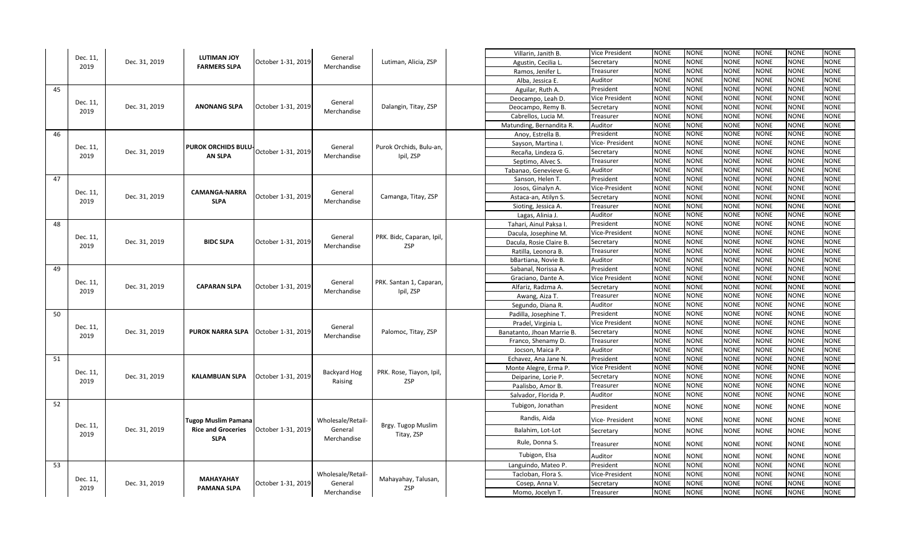|    |                  |               |                                           |                                        |                        |                                      | Villarin, Janith B.        | Vice President  | NONE        | NONE        | <b>NONE</b> | <b>NONE</b> | NONE        | <b>NONE</b> |
|----|------------------|---------------|-------------------------------------------|----------------------------------------|------------------------|--------------------------------------|----------------------------|-----------------|-------------|-------------|-------------|-------------|-------------|-------------|
|    | Dec. 11,<br>2019 | Dec. 31, 2019 | <b>LUTIMAN JOY</b><br><b>FARMERS SLPA</b> | October 1-31, 2019                     | General                | Lutiman, Alicia, ZSP                 | Agustin, Cecilia L.        | Secretary       | NONE        | <b>NONE</b> | <b>NONE</b> | <b>NONE</b> | <b>NONE</b> | <b>NONE</b> |
|    |                  |               |                                           |                                        | Merchandise            |                                      | Ramos, Jenifer L.          | Treasurer       | <b>NONE</b> | <b>NONE</b> | <b>NONE</b> | <b>NONE</b> | <b>NONE</b> | <b>NONE</b> |
|    |                  |               |                                           |                                        |                        |                                      | Alba, Jessica E.           | Auditor         | <b>NONE</b> | <b>NONE</b> | <b>NONE</b> | NONE        | <b>NONE</b> | <b>NONE</b> |
| 45 |                  |               |                                           |                                        |                        |                                      | Aguilar, Ruth A.           | President       | NONE        | <b>NONE</b> | <b>NONE</b> | <b>NONE</b> | <b>NONE</b> | <b>NONE</b> |
|    |                  |               |                                           |                                        |                        |                                      | Deocampo, Leah D.          | Vice President  | <b>NONE</b> | <b>NONE</b> | <b>NONE</b> | NONE        | <b>NONE</b> | <b>NONE</b> |
|    | Dec. 11,<br>2019 | Dec. 31, 2019 | <b>ANONANG SLPA</b>                       | October 1-31, 2019                     | General<br>Merchandise | Dalangin, Titay, ZSP                 | Deocampo, Remy B.          | Secretary       | <b>NONE</b> | <b>NONE</b> | <b>NONE</b> | <b>NONE</b> | <b>NONE</b> | <b>NONE</b> |
|    |                  |               |                                           |                                        |                        |                                      | Cabrellos, Lucia M.        | Treasurer       | NONE        | <b>NONE</b> | <b>NONE</b> | <b>NONE</b> | VONE        | <b>NONE</b> |
|    |                  |               |                                           |                                        |                        |                                      | Matunding, Bernandita R.   | Auditor         | <b>NONE</b> | <b>NONE</b> | <b>NONE</b> | NONE        | <b>NONE</b> | <b>NONE</b> |
| 46 |                  |               |                                           |                                        |                        |                                      | Anoy, Estrella B.          | President       | <b>NONE</b> | <b>NONE</b> | <b>NONE</b> | NONE        | <b>NONE</b> | <b>NONE</b> |
|    | Dec. 11,         |               | PUROK ORCHIDS BULU-                       |                                        | General                | Purok Orchids, Bulu-an,              | Sayson, Martina I          | Vice- President | <b>NONE</b> | <b>NONE</b> | <b>NONE</b> | NONE        | <b>NONE</b> | <b>NONE</b> |
|    | 2019             | Dec. 31, 2019 | <b>AN SLPA</b>                            | October 1-31, 2019                     | Merchandise            | Ipil, ZSP                            | Recaña, Lindeza G.         | Secretary       | <b>NONE</b> | <b>NONE</b> | <b>NONE</b> | NONE        | <b>NONE</b> | <b>NONE</b> |
|    |                  |               |                                           |                                        |                        |                                      | Septimo, Alvec S.          | Treasurer       | <b>NONE</b> | <b>NONE</b> | <b>NONE</b> | <b>NONE</b> | <b>NONE</b> | <b>NONE</b> |
|    |                  |               |                                           |                                        |                        |                                      | Tabanao, Genevieve G.      | Auditor         | NONE        | <b>NONE</b> | <b>NONE</b> | NONE        | VONE        | <b>NONE</b> |
| 47 |                  |               |                                           |                                        |                        |                                      | Sanson, Helen T.           | President       | <b>NONE</b> | <b>NONE</b> | <b>NONE</b> | <b>NONE</b> | <b>NONE</b> | <b>NONE</b> |
|    | Dec. 11,         |               | <b>CAMANGA-NARRA</b>                      |                                        | General                |                                      | Josos, Ginalyn A.          | Vice-President  | <b>NONE</b> | <b>NONE</b> | <b>NONE</b> | <b>NONE</b> | <b>NONE</b> | <b>NONE</b> |
|    | 2019             | Dec. 31, 2019 | <b>SLPA</b>                               | October 1-31, 2019                     | Merchandise            | Camanga, Titay, ZSP                  | Astaca-an, Atilyn S.       | Secretary       | <b>NONE</b> | <b>NONE</b> | <b>NONE</b> | <b>NONE</b> | NONE        | <b>NONE</b> |
|    |                  |               |                                           |                                        |                        |                                      | Sioting, Jessica A.        | Treasurer       | <b>NONE</b> | <b>NONE</b> | <b>NONE</b> | NONE        | <b>NONE</b> | <b>NONE</b> |
|    |                  |               |                                           |                                        |                        |                                      | Lagas, Alinia J.           | Auditor         | <b>NONE</b> | <b>NONE</b> | <b>NONE</b> | NONE        | <b>NONE</b> | <b>NONE</b> |
| 48 |                  |               |                                           |                                        |                        |                                      | Tahari, Ainul Paksa I.     | President       | NONE        | <b>NONE</b> | <b>NONE</b> | <b>NONE</b> | NONE        | <b>NONE</b> |
|    | Dec. 11,         |               |                                           |                                        | General<br>Merchandise | PRK. Bidc, Caparan, Ipil,<br>ZSP     | Dacula, Josephine M.       | Vice-President  | <b>NONE</b> | <b>NONE</b> | <b>NONE</b> | <b>NONE</b> | <b>NONE</b> | <b>NONE</b> |
|    | 2019             | Dec. 31, 2019 |                                           | <b>BIDC SLPA</b><br>October 1-31, 2019 |                        |                                      | Dacula, Rosie Claire B.    | Secretary       | <b>NONE</b> | <b>NONE</b> | <b>NONE</b> | NONE        | <b>NONE</b> | <b>NONE</b> |
|    |                  |               |                                           |                                        |                        |                                      | Ratilla, Leonora B.        | Treasurer       | <b>NONE</b> | <b>NONE</b> | <b>NONE</b> | <b>NONE</b> | <b>NONE</b> | <b>NONE</b> |
|    |                  |               |                                           |                                        |                        |                                      | bBartiana, Novie B.        | Auditor         | <b>NONE</b> | <b>NONE</b> | <b>NONE</b> | NONE        | <b>NONE</b> | <b>NONE</b> |
| 49 |                  |               |                                           |                                        |                        |                                      | Sabanal, Norissa A         | President       | <b>NONE</b> | <b>NONE</b> | <b>NONE</b> | <b>NONE</b> | <b>NONE</b> | <b>NONE</b> |
|    | Dec. 11,         |               |                                           |                                        | General                | PRK. Santan 1, Caparan,<br>Ipil, ZSP | Graciano, Dante A.         | Vice President  | NONE        | <b>NONE</b> | <b>NONE</b> | <b>NONE</b> | <b>NONE</b> | <b>NONE</b> |
|    | 2019             | Dec. 31, 2019 | <b>CAPARAN SLPA</b>                       | October 1-31, 2019                     | Merchandise            |                                      | Alfariz, Radzma A          | Secretary       | <b>NONE</b> | <b>NONE</b> | <b>NONE</b> | NONE        | <b>NONE</b> | <b>NONE</b> |
|    |                  |               |                                           |                                        |                        |                                      | Awang, Aiza T.             | Treasurer       | <b>NONE</b> | <b>NONE</b> | <b>NONE</b> | NONE        | NONE        | <b>NONE</b> |
|    |                  |               |                                           |                                        |                        |                                      | Segundo, Diana R.          | Auditor         | NONE        | <b>NONE</b> | <b>NONE</b> | <b>NONE</b> | <b>NONE</b> | <b>NONE</b> |
| 50 |                  |               |                                           |                                        |                        |                                      | Padilla, Josephine T.      | President       | <b>NONE</b> | <b>NONE</b> | <b>NONE</b> | NONE        | <b>NONE</b> | <b>NONE</b> |
|    | Dec. 11,         |               |                                           |                                        | General                |                                      | Pradel, Virginia L.        | Vice President  | <b>NONE</b> | <b>NONE</b> | <b>NONE</b> | <b>NONE</b> | <b>NONE</b> | <b>NONE</b> |
|    | 2019             | Dec. 31, 2019 | <b>PUROK NARRA SLPA</b>                   | October 1-31, 2019                     | Merchandise            | Palomoc, Titay, ZSP                  | Banatanto, Jhoan Marrie B. | Secretary       | <b>NONE</b> | <b>NONE</b> | <b>NONE</b> | NONE        | NONE        | <b>NONE</b> |
|    |                  |               |                                           |                                        |                        |                                      | Franco, Shenamy D.         | Treasurer       | <b>NONE</b> | <b>NONE</b> | <b>NONE</b> | <b>NONE</b> | <b>NONE</b> | <b>NONE</b> |
|    |                  |               |                                           |                                        |                        |                                      | Jocson, Maica P.           | Auditor         | <b>NONE</b> | <b>NONE</b> | <b>NONE</b> | NONE        | NONE        | <b>NONE</b> |
| 51 |                  |               |                                           |                                        |                        |                                      | Echavez, Ana Jane N.       | President       | NONE        | <b>NONE</b> | <b>NONE</b> | <b>NONE</b> | NONE        | <b>NONE</b> |
|    | Dec. 11,         |               |                                           |                                        | <b>Backyard Hog</b>    | PRK. Rose, Tiayon, Ipil,             | Monte Alegre, Erma P.      | Vice President  | <b>NONE</b> | <b>NONE</b> | <b>NONE</b> | NONE        | <b>NONE</b> | <b>NONE</b> |
|    | 2019             | Dec. 31, 2019 | <b>KALAMBUAN SLPA</b>                     | October 1-31, 2019                     | Raising                | ZSP                                  | Deiparine, Lorie P.        | Secretary       | <b>NONE</b> | <b>NONE</b> | <b>NONE</b> | NONE        | NONE        | <b>NONE</b> |
|    |                  |               |                                           |                                        |                        |                                      | Paalisbo, Amor B.          | Treasurer       | <b>NONE</b> | <b>NONE</b> | <b>NONE</b> | NONE        | NONE        | <b>NONE</b> |
| 52 |                  |               |                                           |                                        |                        |                                      | Salvador, Florida P.       | Auditor         | <b>NONE</b> | <b>NONE</b> | <b>NONE</b> | <b>NONE</b> | NONE        | <b>NONE</b> |
|    |                  |               |                                           |                                        |                        |                                      | Tubigon, Jonathan          | President       | <b>NONE</b> | <b>NONE</b> | <b>NONE</b> | <b>NONE</b> | NONE        | <b>NONE</b> |
|    |                  |               | Tugop Muslim Pamana                       |                                        | Wholesale/Retail-      |                                      | Randis, Aida               | Vice- President | <b>NONE</b> | NONE        | <b>NONE</b> | <b>NONE</b> | <b>NONE</b> | <b>NONE</b> |
|    | Dec. 11,         | Dec. 31, 2019 | <b>Rice and Groceries</b>                 | October 1-31, 2019                     | General                | Brgy. Tugop Muslim                   | Balahim, Lot-Lot           |                 | NONE        | <b>NONE</b> | <b>NONE</b> | NONE        | NONE        | <b>NONE</b> |
|    | 2019             |               | <b>SLPA</b>                               |                                        | Merchandise            | Titay, ZSP                           |                            | Secretary       |             |             |             |             |             |             |
|    |                  |               |                                           |                                        |                        |                                      | Rule, Donna S.             | Treasurer       | <b>NONE</b> | NONE        | <b>NONE</b> | NONE        | <b>NONE</b> | NONE        |
|    |                  |               |                                           |                                        |                        |                                      | Tubigon, Elsa              | Auditor         | <b>NONE</b> | <b>NONE</b> | <b>NONE</b> | <b>NONE</b> | <b>NONE</b> | <b>NONE</b> |
| 53 |                  |               |                                           |                                        |                        |                                      | Languindo, Mateo P.        | President       | <b>NONE</b> | <b>NONE</b> | <b>NONE</b> | NONE        | NONE        | <b>NONE</b> |
|    |                  |               |                                           |                                        | Wholesale/Retail-      |                                      | Tacloban, Flora S.         | Vice-President  | <b>NONE</b> | NONE        | <b>NONE</b> | NONE        | NONE        | NONE        |
|    | Dec. 11,         | Dec. 31, 2019 | ΜΑΗΑΥΑΗΑΥ<br><b>PAMANA SLPA</b>           | October 1-31, 2019                     | General<br>Merchandise | Mahayahay, Talusan,                  | Cosep, Anna V.             | Secretary       | <b>VONE</b> | <b>NONE</b> | <b>NONE</b> | NONE        | <b>NONE</b> | <b>NONE</b> |
|    | 2019             |               |                                           |                                        |                        | ZSP                                  | Momo, Jocelyn T.           | Treasurer       | <b>NONE</b> | <b>NONE</b> | <b>NONE</b> | NONE        | <b>NONE</b> | <b>NONE</b> |
|    |                  |               |                                           |                                        |                        |                                      |                            |                 |             |             |             |             |             |             |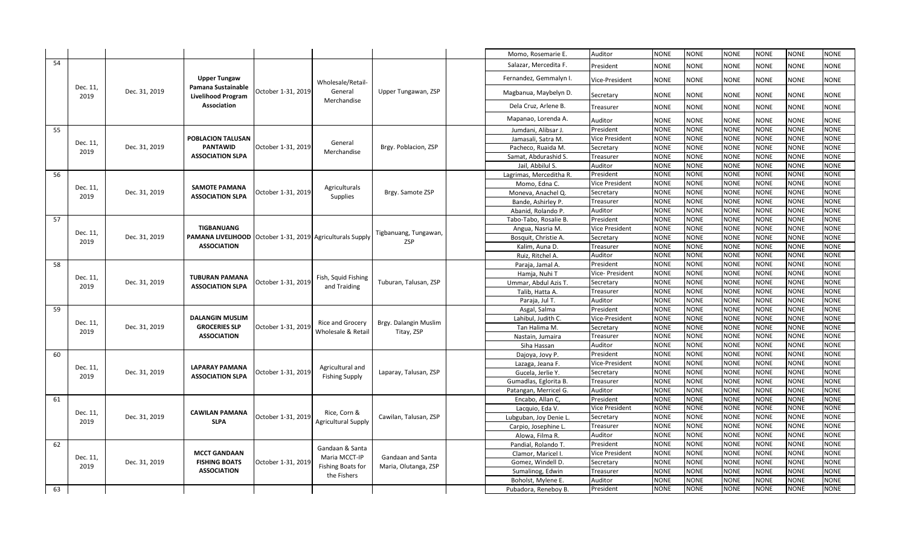|    |                  |               |                                                                  |                    |                                         |                       | Momo, Rosemarie E.      | Auditor               | <b>NONE</b> | <b>NONE</b> | <b>NONE</b> | <b>NONE</b> | <b>NONE</b> | <b>NONE</b> |
|----|------------------|---------------|------------------------------------------------------------------|--------------------|-----------------------------------------|-----------------------|-------------------------|-----------------------|-------------|-------------|-------------|-------------|-------------|-------------|
| 54 |                  |               |                                                                  |                    |                                         |                       | Salazar, Mercedita F.   | President             | <b>NONE</b> | NONE        | <b>NONE</b> | <b>NONE</b> | <b>NONE</b> | <b>NONE</b> |
|    |                  |               | <b>Upper Tungaw</b>                                              |                    | Wholesale/Retail-                       |                       | Fernandez, Gemmalyn I.  | Vice-President        | <b>NONE</b> | NONE        | NONE        | <b>NONE</b> | <b>NONE</b> | <b>NONE</b> |
|    | Dec. 11,<br>2019 | Dec. 31, 2019 | Pamana Sustainable<br><b>Livelihood Program</b>                  | October 1-31, 2019 | General                                 | Upper Tungawan, ZSP   | Magbanua, Maybelyn D.   | Secretary             | <b>NONE</b> | NONE        | NONE        | <b>NONE</b> | <b>NONE</b> | <b>NONE</b> |
|    |                  |               | Association                                                      |                    | Merchandise                             |                       | Dela Cruz, Arlene B.    | Treasurer             | <b>NONE</b> | <b>NONE</b> | <b>NONE</b> | <b>NONE</b> | <b>NONE</b> | <b>NONE</b> |
|    |                  |               |                                                                  |                    |                                         |                       | Mapanao, Lorenda A.     | Auditor               | <b>NONE</b> | NONE        | NONE        | <b>NONE</b> | <b>NONE</b> | <b>NONE</b> |
| 55 |                  |               |                                                                  |                    |                                         |                       | Jumdani, Alibsar J.     | President             | <b>NONE</b> | <b>NONE</b> | <b>NONE</b> | <b>NONE</b> | <b>NONE</b> | <b>NONE</b> |
|    |                  |               | POBLACION TALUSAN                                                |                    |                                         |                       | Jamasali, Satra M.      | <b>Vice President</b> | <b>NONE</b> | <b>NONE</b> | <b>NONE</b> | <b>NONE</b> | <b>NONE</b> | <b>NONE</b> |
|    | Dec. 11,         | Dec. 31, 2019 | <b>PANTAWID</b>                                                  | October 1-31, 2019 | General                                 | Brgy. Poblacion, ZSP  | Pacheco, Ruaida M.      | Secretary             | <b>NONE</b> | <b>NONE</b> | NONE        | <b>NONE</b> | <b>NONE</b> | <b>NONE</b> |
|    | 2019             |               | <b>ASSOCIATION SLPA</b>                                          |                    | Merchandise                             |                       | Samat, Abdurashid S.    | Treasurer             | <b>NONE</b> | <b>NONE</b> | NONE        | <b>NONE</b> | <b>NONE</b> | <b>NONE</b> |
|    |                  |               |                                                                  |                    |                                         |                       | Jail, Abbilul S.        | Auditor               | <b>NONE</b> | <b>NONE</b> | NONE        | <b>NONE</b> | <b>NONE</b> | <b>NONE</b> |
| 56 |                  |               |                                                                  |                    |                                         |                       | Lagrimas, Merceditha R. | President             | <b>NONE</b> | <b>NONE</b> | <b>NONE</b> | <b>NONE</b> | <b>NONE</b> | <b>NONE</b> |
|    |                  |               |                                                                  |                    |                                         |                       | Momo, Edna C.           | <b>Vice President</b> | <b>NONE</b> | <b>NONE</b> | NONE        | <b>NONE</b> | <b>NONE</b> | <b>NONE</b> |
|    | Dec. 11,         | Dec. 31, 2019 | <b>SAMOTE PAMANA</b>                                             | October 1-31, 2019 | Agriculturals                           | Brgy. Samote ZSP      | Moneva, Anachel Q.      | Secretary             | <b>NONE</b> | <b>NONE</b> | <b>NONE</b> | <b>NONE</b> | <b>NONE</b> | <b>NONE</b> |
|    | 2019             |               | <b>ASSOCIATION SLPA</b>                                          |                    | Supplies                                |                       | Bande, Ashirley P.      | Treasurer             | <b>NONE</b> | <b>NONE</b> | <b>NONE</b> | <b>NONE</b> | <b>NONE</b> | <b>NONE</b> |
|    |                  |               |                                                                  |                    |                                         |                       | Abanid, Rolando P       | Auditor               | <b>NONE</b> | <b>NONE</b> | <b>NONE</b> | <b>NONE</b> | <b>NONE</b> | <b>NONE</b> |
| 57 |                  |               |                                                                  |                    |                                         |                       | Tabo-Tabo, Rosalie B.   | President             | <b>NONE</b> | <b>NONE</b> | NONE        | <b>NONE</b> | <b>NONE</b> | <b>NONE</b> |
|    |                  |               | TIGBANUANG                                                       |                    |                                         |                       | Angua, Nasria M.        | <b>Vice President</b> | <b>NONE</b> | <b>NONE</b> | <b>NONE</b> | <b>NONE</b> | <b>NONE</b> | <b>NONE</b> |
|    | Dec. 11,         | Dec. 31, 2019 | <b>PAMANA LIVELIHOOD</b> October 1-31, 2019 Agriculturals Supply |                    |                                         | Tigbanuang, Tungawan, | Bosquit, Christie A     | Secretary             | <b>NONE</b> | <b>NONE</b> | NONE        | <b>NONE</b> | <b>NONE</b> | <b>NONE</b> |
|    | 2019             |               | <b>ASSOCIATION</b>                                               |                    |                                         | <b>ZSP</b>            | Kalim, Auna D.          | Treasurer             | <b>NONE</b> | NONE        | <b>NONE</b> | <b>NONE</b> | <b>NONE</b> | <b>NONE</b> |
|    |                  |               |                                                                  |                    |                                         |                       | Ruiz, Ritchel A.        | Auditor               | <b>NONE</b> | <b>NONE</b> | NONE        | <b>NONE</b> | <b>NONE</b> | <b>NONE</b> |
| 58 |                  |               |                                                                  |                    |                                         |                       | Paraja, Jamal A.        | President             | <b>NONE</b> | <b>NONE</b> | <b>NONE</b> | <b>NONE</b> | <b>NONE</b> | <b>NONE</b> |
|    |                  |               |                                                                  |                    |                                         |                       | Hamja, Nuhi T           | Vice- President       | <b>NONE</b> | NONE        | NONE        | <b>NONE</b> | <b>NONE</b> | <b>NONE</b> |
|    | Dec. 11,         | Dec. 31, 2019 | <b>TUBURAN PAMANA</b>                                            | October 1-31, 2019 | Fish, Squid Fishing                     | Tuburan, Talusan, ZSP | Ummar, Abdul Azis T.    | Secretary             | <b>NONE</b> | <b>NONE</b> | <b>NONE</b> | <b>NONE</b> | <b>NONE</b> | <b>NONE</b> |
|    | 2019             |               | <b>ASSOCIATION SLPA</b>                                          |                    | and Traiding                            |                       | Talib, Hatta A.         | Treasurer             | <b>NONE</b> | <b>NONE</b> | NONE        | <b>NONE</b> | <b>NONE</b> | <b>NONE</b> |
|    |                  |               |                                                                  |                    |                                         |                       | Paraja, Jul T.          | Auditor               | <b>NONE</b> | <b>NONE</b> | NONE        | <b>NONE</b> | <b>NONE</b> | <b>NONE</b> |
| 59 |                  |               |                                                                  |                    |                                         |                       | Asgal, Salma            | President             | <b>NONE</b> | <b>NONE</b> | NONE        | <b>NONE</b> | <b>NONE</b> | <b>NONE</b> |
|    |                  |               | <b>DALANGIN MUSLIM</b>                                           |                    |                                         |                       | Lahibul, Judith C.      | Vice-President        | <b>NONE</b> | <b>NONE</b> | <b>NONE</b> | <b>NONE</b> | <b>NONE</b> | <b>NONE</b> |
|    | Dec. 11,         | Dec. 31, 2019 | <b>GROCERIES SLP</b>                                             | October 1-31, 201  | Rice and Grocery                        | Brgy. Dalangin Muslim | Tan Halima M.           | Secretary             | <b>NONE</b> | <b>NONE</b> | NONE        | <b>NONE</b> | <b>NONE</b> | <b>NONE</b> |
|    | 2019             |               | <b>ASSOCIATION</b>                                               |                    | Wholesale & Retai                       | Titay, ZSP            | Nastain, Jumaira        | Treasurer             | <b>NONE</b> | <b>NONE</b> | <b>NONE</b> | <b>NONE</b> | <b>NONE</b> | <b>NONE</b> |
|    |                  |               |                                                                  |                    |                                         |                       | Siha Hassan             | Auditor               | <b>NONE</b> | <b>NONE</b> | <b>NONE</b> | <b>NONE</b> | <b>NONE</b> | <b>NONE</b> |
| 60 |                  |               |                                                                  |                    |                                         |                       | Dajoya, Jovy P.         | President             | <b>NONE</b> | <b>NONE</b> | <b>NONE</b> | <b>NONE</b> | <b>NONE</b> | <b>NONE</b> |
|    |                  |               |                                                                  |                    |                                         |                       | Lazaga, Jeana F.        | Vice-President        | <b>NONE</b> | <b>NONE</b> | <b>NONE</b> | <b>NONE</b> | <b>NONE</b> | <b>NONE</b> |
|    | Dec. 11,         | Dec. 31, 2019 | LAPARAY PAMANA                                                   | October 1-31, 2019 | Agricultural and                        | Laparay, Talusan, ZSP | Gucela, Jerlie Y.       | Secretary             | <b>NONE</b> | <b>NONE</b> | <b>NONE</b> | <b>NONE</b> | <b>NONE</b> | <b>NONE</b> |
|    | 2019             |               | <b>ASSOCIATION SLPA</b>                                          |                    | <b>Fishing Supply</b>                   |                       | Gumadlas, Eglorita B    | Treasurer             | <b>NONE</b> | <b>NONE</b> | <b>NONE</b> | <b>NONE</b> | <b>NONE</b> | <b>NONE</b> |
|    |                  |               |                                                                  |                    |                                         |                       | Patangan, Merricel G.   | Auditor               | <b>NONE</b> | <b>NONE</b> | <b>NONE</b> | <b>NONE</b> | <b>NONE</b> | <b>NONE</b> |
| 61 |                  |               |                                                                  |                    |                                         |                       | Encabo, Allan C,        | President             | <b>NONE</b> | NONE        | <b>NONE</b> | <b>NONE</b> | <b>NONE</b> | <b>NONE</b> |
|    | Dec. 11,         |               | <b>CAWILAN PAMANA</b>                                            |                    | Rice, Corn &                            |                       | Lacquio, Eda V.         | <b>Vice President</b> | <b>NONE</b> | NONE        | <b>NONE</b> | NONE        | <b>NONE</b> | <b>NONE</b> |
|    | 2019             | Dec. 31, 2019 | <b>SLPA</b>                                                      | October 1-31, 2019 | <b>Agricultural Supply</b>              | Cawilan, Talusan, ZSP | Lubguban, Joy Denie L   | Secretary             | <b>NONE</b> | <b>NONE</b> | <b>NONE</b> | <b>NONE</b> | <b>NONE</b> | <b>NONE</b> |
|    |                  |               |                                                                  |                    |                                         |                       | Carpio, Josephine L.    | Treasurer             | <b>NONE</b> | NONE        | <b>NONE</b> | <b>NONE</b> | NONE        | <b>NONE</b> |
|    |                  |               |                                                                  |                    |                                         |                       | Alowa, Filma R.         | Auditor               | <b>NONE</b> | NONE        | <b>NONE</b> | NONE        | <b>NONE</b> | <b>NONE</b> |
| 62 |                  |               |                                                                  |                    | Gandaan & Santa                         |                       | Pandial, Rolando T.     | President             | <b>NONE</b> | <b>NONE</b> | <b>NONE</b> | <b>NONE</b> | <b>NONE</b> | <b>NONE</b> |
|    |                  |               | <b>MCCT GANDAAN</b>                                              |                    |                                         |                       | Clamor, Maricel I       | <b>Vice President</b> | <b>NONE</b> | NONE        | <b>NONE</b> | NONE        | <b>NONE</b> | <b>NONE</b> |
|    | Dec. 11,<br>2019 | Dec. 31, 2019 | <b>FISHING BOATS</b>                                             | October 1-31, 2019 | Maria MCCT-IP                           | Gandaan and Santa     | Gomez, Windell D.       | Secretary             | <b>NONE</b> | <b>NONE</b> | NONE        | <b>NONE</b> | <b>NONE</b> | <b>NONE</b> |
|    |                  |               | <b>ASSOCIATION</b>                                               |                    | <b>Fishing Boats for</b><br>the Fishers | Maria, Olutanga, ZSP  | Sumalinog, Edwin        | Treasurer             | <b>NONE</b> | <b>NONE</b> | NONE        | <b>NONE</b> | <b>NONE</b> | <b>NONE</b> |
|    |                  |               |                                                                  |                    |                                         |                       | Boholst, Mylene E.      | Auditor               | <b>NONE</b> | <b>NONE</b> | <b>NONE</b> | <b>NONE</b> | <b>NONE</b> | <b>NONE</b> |
| 63 |                  |               |                                                                  |                    |                                         |                       | Pubadora, Reneboy B.    | President             | <b>NONE</b> | <b>NONE</b> | <b>NONE</b> | <b>NONE</b> | <b>NONE</b> | <b>NONE</b> |